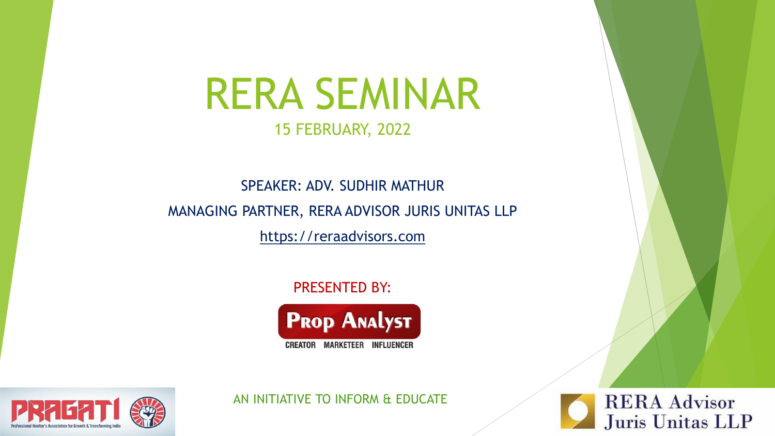# RERA SEMINAR

### 15 FEBRUARY, 2022

## SPEAKER: ADV. SUDHIR MATHUR MANAGING PARTNER, RERA ADVISOR JURIS UNITAS LLP

[https://reraadvisors.com](https://reraadvisors.com/)

PRESENTED BY:





AN INITIATIVE TO INFORM & EDUCATE

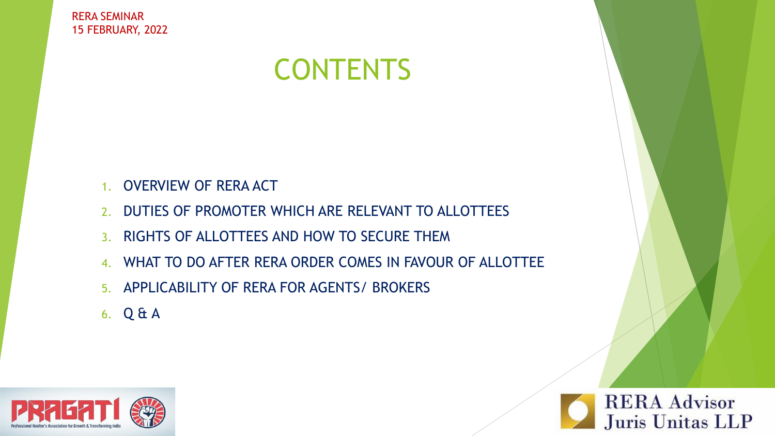## **CONTENTS**

- 1. OVERVIEW OF RERA ACT
- 2. DUTIES OF PROMOTER WHICH ARE RELEVANT TO ALLOTTEES
- 3. RIGHTS OF ALLOTTEES AND HOW TO SECURE THEM
- 4. WHAT TO DO AFTER RERA ORDER COMES IN FAVOUR OF ALLOTTEE
- 5. APPLICABILITY OF RERA FOR AGENTS/ BROKERS
- 6. Q & A



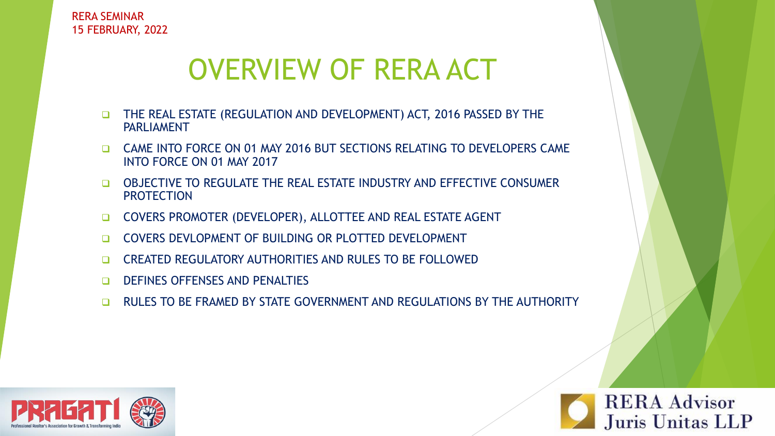## OVERVIEW OF RERA ACT

- ❑ THE REAL ESTATE (REGULATION AND DEVELOPMENT) ACT, 2016 PASSED BY THE PARLIAMENT
- ❑ CAME INTO FORCE ON 01 MAY 2016 BUT SECTIONS RELATING TO DEVELOPERS CAME INTO FORCE ON 01 MAY 2017
- ❑ OBJECTIVE TO REGULATE THE REAL ESTATE INDUSTRY AND EFFECTIVE CONSUMER **PROTECTION**
- ❑ COVERS PROMOTER (DEVELOPER), ALLOTTEE AND REAL ESTATE AGENT
- ❑ COVERS DEVLOPMENT OF BUILDING OR PLOTTED DEVELOPMENT
- ❑ CREATED REGULATORY AUTHORITIES AND RULES TO BE FOLLOWED
- ❑ DEFINES OFFENSES AND PENALTIES
- ❑ RULES TO BE FRAMED BY STATE GOVERNMENT AND REGULATIONS BY THE AUTHORITY



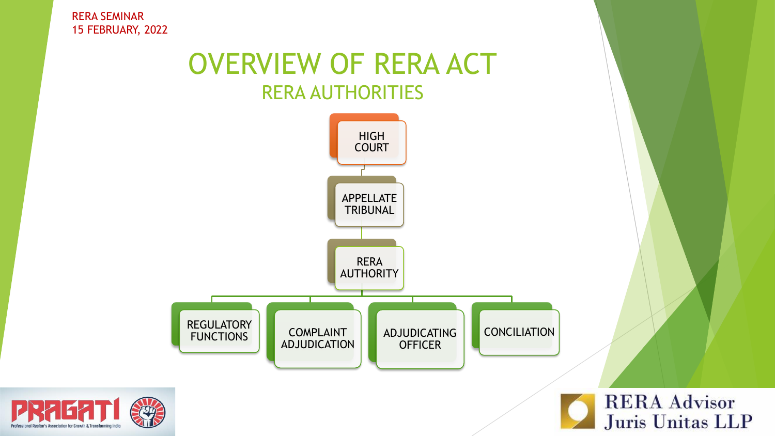

**PRAEA** 



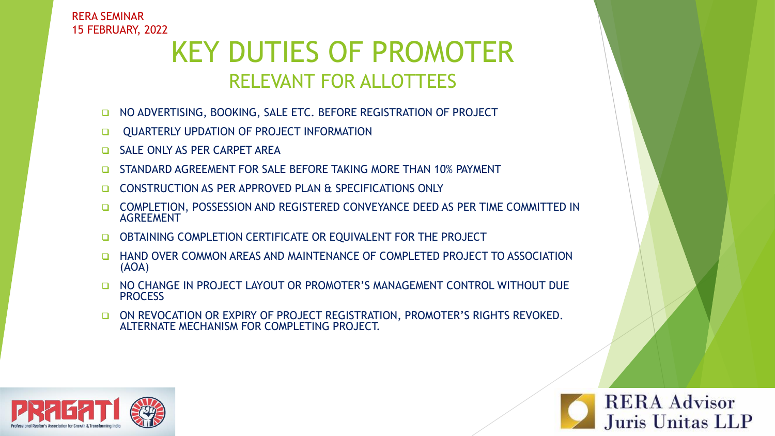## KEY DUTIES OF PROMOTER RELEVANT FOR ALLOTTEES

- ❑ NO ADVERTISING, BOOKING, SALE ETC. BEFORE REGISTRATION OF PROJECT
- ❑ QUARTERLY UPDATION OF PROJECT INFORMATION
- ❑ SALE ONLY AS PER CARPET AREA
- ❑ STANDARD AGREEMENT FOR SALE BEFORE TAKING MORE THAN 10% PAYMENT
- ❑ CONSTRUCTION AS PER APPROVED PLAN & SPECIFICATIONS ONLY
- ❑ COMPLETION, POSSESSION AND REGISTERED CONVEYANCE DEED AS PER TIME COMMITTED IN AGREEMENT
- ❑ OBTAINING COMPLETION CERTIFICATE OR EQUIVALENT FOR THE PROJECT
- ❑ HAND OVER COMMON AREAS AND MAINTENANCE OF COMPLETED PROJECT TO ASSOCIATION (AOA)
- ❑ NO CHANGE IN PROJECT LAYOUT OR PROMOTER'S MANAGEMENT CONTROL WITHOUT DUE **PROCESS**
- ❑ ON REVOCATION OR EXPIRY OF PROJECT REGISTRATION, PROMOTER'S RIGHTS REVOKED. ALTERNATE MECHANISM FOR COMPLETING PROJECT.

**RERA Advisor** 

Juris Unitas LLP

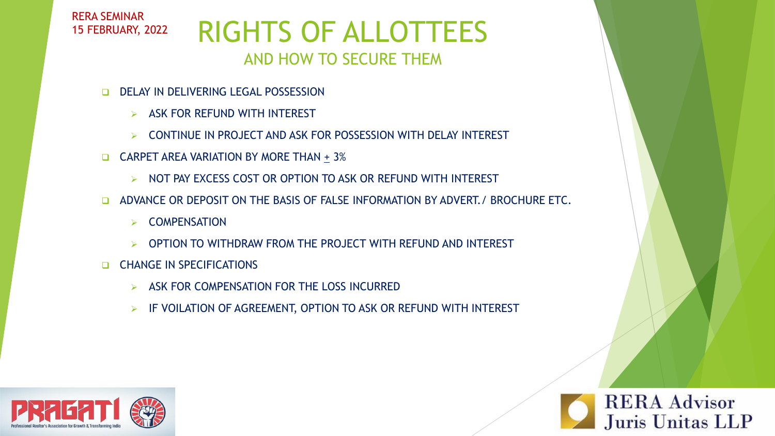RERA SEMINAR 15 FEBRUARY, 2022

### RIGHTS OF ALLOTTEES AND HOW TO SECURE THEM

- ❑ DELAY IN DELIVERING LEGAL POSSESSION
	- $\triangleright$  ASK FOR REFUND WITH INTEREST
	- ➢ CONTINUE IN PROJECT AND ASK FOR POSSESSION WITH DELAY INTEREST
- ❑ CARPET AREA VARIATION BY MORE THAN + 3%
	- ➢ NOT PAY EXCESS COST OR OPTION TO ASK OR REFUND WITH INTEREST
- □ ADVANCE OR DEPOSIT ON THE BASIS OF FALSE INFORMATION BY ADVERT. / BROCHURE ETC.
	- **COMPENSATION**
	- ➢ OPTION TO WITHDRAW FROM THE PROJECT WITH REFUND AND INTEREST
- ❑ CHANGE IN SPECIFICATIONS
	- ➢ ASK FOR COMPENSATION FOR THE LOSS INCURRED
	- ➢ IF VOILATION OF AGREEMENT, OPTION TO ASK OR REFUND WITH INTEREST

**RERA Advisor** 

Juris Unitas LLP

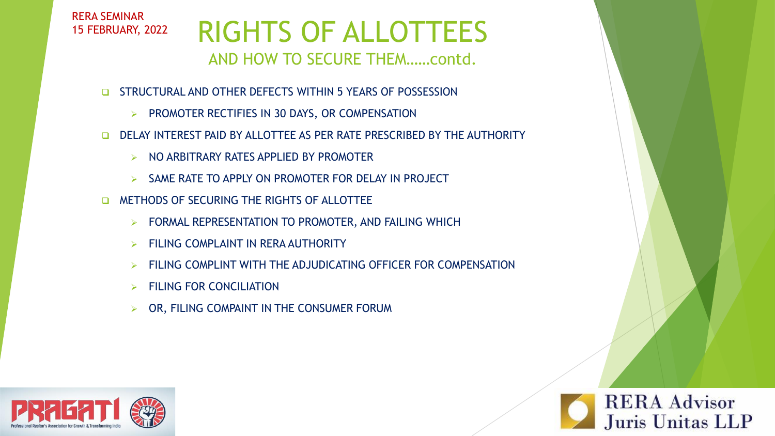RERA SEMINAR 15 FEBRUARY, 2022

# RIGHTS OF ALLOTTEES

#### AND HOW TO SECURE THEM……contd.

- ❑ STRUCTURAL AND OTHER DEFECTS WITHIN 5 YEARS OF POSSESSION
	- ➢ PROMOTER RECTIFIES IN 30 DAYS, OR COMPENSATION
- ❑ DELAY INTEREST PAID BY ALLOTTEE AS PER RATE PRESCRIBED BY THE AUTHORITY
	- ➢ NO ARBITRARY RATES APPLIED BY PROMOTER
	- SAME RATE TO APPLY ON PROMOTER FOR DELAY IN PROJECT
- ❑ METHODS OF SECURING THE RIGHTS OF ALLOTTEE
	- ➢ FORMAL REPRESENTATION TO PROMOTER, AND FAILING WHICH
	- ➢ FILING COMPLAINT IN RERA AUTHORITY
	- ➢ FILING COMPLINT WITH THE ADJUDICATING OFFICER FOR COMPENSATION

**RERA Advisor** 

Juris Unitas LLP

- ➢ FILING FOR CONCILIATION
- ➢ OR, FILING COMPAINT IN THE CONSUMER FORUM

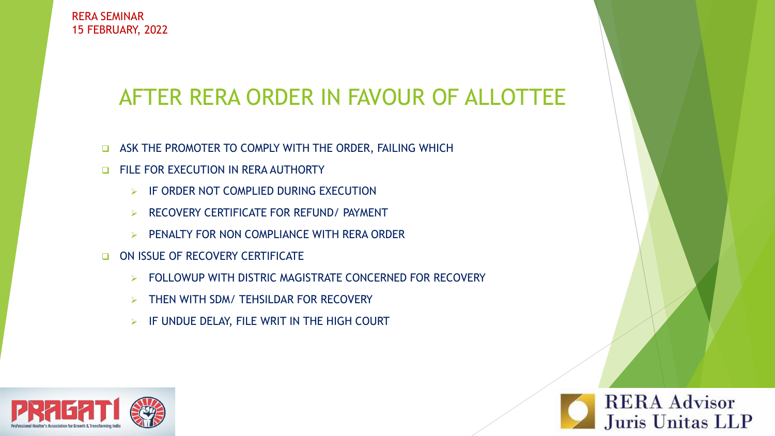### AFTER RERA ORDER IN FAVOUR OF ALLOTTEE

- ❑ ASK THE PROMOTER TO COMPLY WITH THE ORDER, FAILING WHICH
- ❑ FILE FOR EXECUTION IN RERA AUTHORTY
	- ➢ IF ORDER NOT COMPLIED DURING EXECUTION
	- ➢ RECOVERY CERTIFICATE FOR REFUND/ PAYMENT
	- ➢ PENALTY FOR NON COMPLIANCE WITH RERA ORDER
- ON ISSUE OF RECOVERY CERTIFICATE
	- ➢ FOLLOWUP WITH DISTRIC MAGISTRATE CONCERNED FOR RECOVERY
	- ➢ THEN WITH SDM/ TEHSILDAR FOR RECOVERY
	- $\triangleright$  IF UNDUE DELAY, FILE WRIT IN THE HIGH COURT



**RERA Advisor** Juris Unitas LLP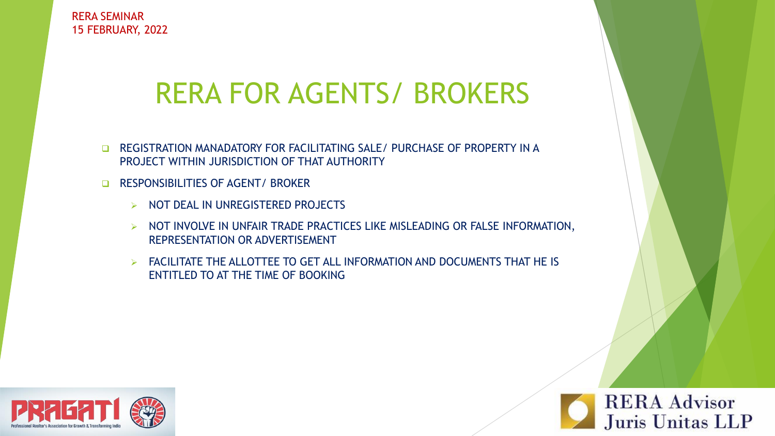## RERA FOR AGENTS/ BROKERS

- ❑ REGISTRATION MANADATORY FOR FACILITATING SALE/ PURCHASE OF PROPERTY IN A PROJECT WITHIN JURISDICTION OF THAT AUTHORITY
- ❑ RESPONSIBILITIES OF AGENT/ BROKER
	- ➢ NOT DEAL IN UNREGISTERED PROJECTS
	- ➢ NOT INVOLVE IN UNFAIR TRADE PRACTICES LIKE MISLEADING OR FALSE INFORMATION, REPRESENTATION OR ADVERTISEMENT
	- ➢ FACILITATE THE ALLOTTEE TO GET ALL INFORMATION AND DOCUMENTS THAT HE IS ENTITLED TO AT THE TIME OF BOOKING



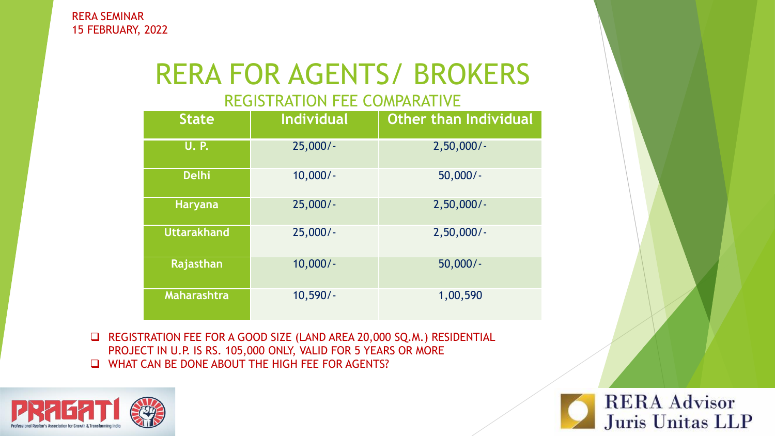# RERA FOR AGENTS/ BROKERS

#### REGISTRATION FEE COMPARATIVE

| <b>State</b>       | Individual | <b>Other than Individual</b> |
|--------------------|------------|------------------------------|
| <b>U.P.</b>        | $25,000/-$ | $2,50,000/$ -                |
| <b>Delhi</b>       | $10,000/-$ | $50,000/-$                   |
| <b>Haryana</b>     | $25,000/-$ | $2,50,000/$ -                |
| <b>Uttarakhand</b> | $25,000/-$ | $2,50,000/$ -                |
| Rajasthan          | $10,000/-$ | $50,000/-$                   |
| <b>Maharashtra</b> | $10,590/-$ | 1,00,590                     |

❑ REGISTRATION FEE FOR A GOOD SIZE (LAND AREA 20,000 SQ.M.) RESIDENTIAL PROJECT IN U.P. IS RS. 105,000 ONLY, VALID FOR 5 YEARS OR MORE ❑ WHAT CAN BE DONE ABOUT THE HIGH FEE FOR AGENTS?



**RERA Advisor** Juris Unitas LLP